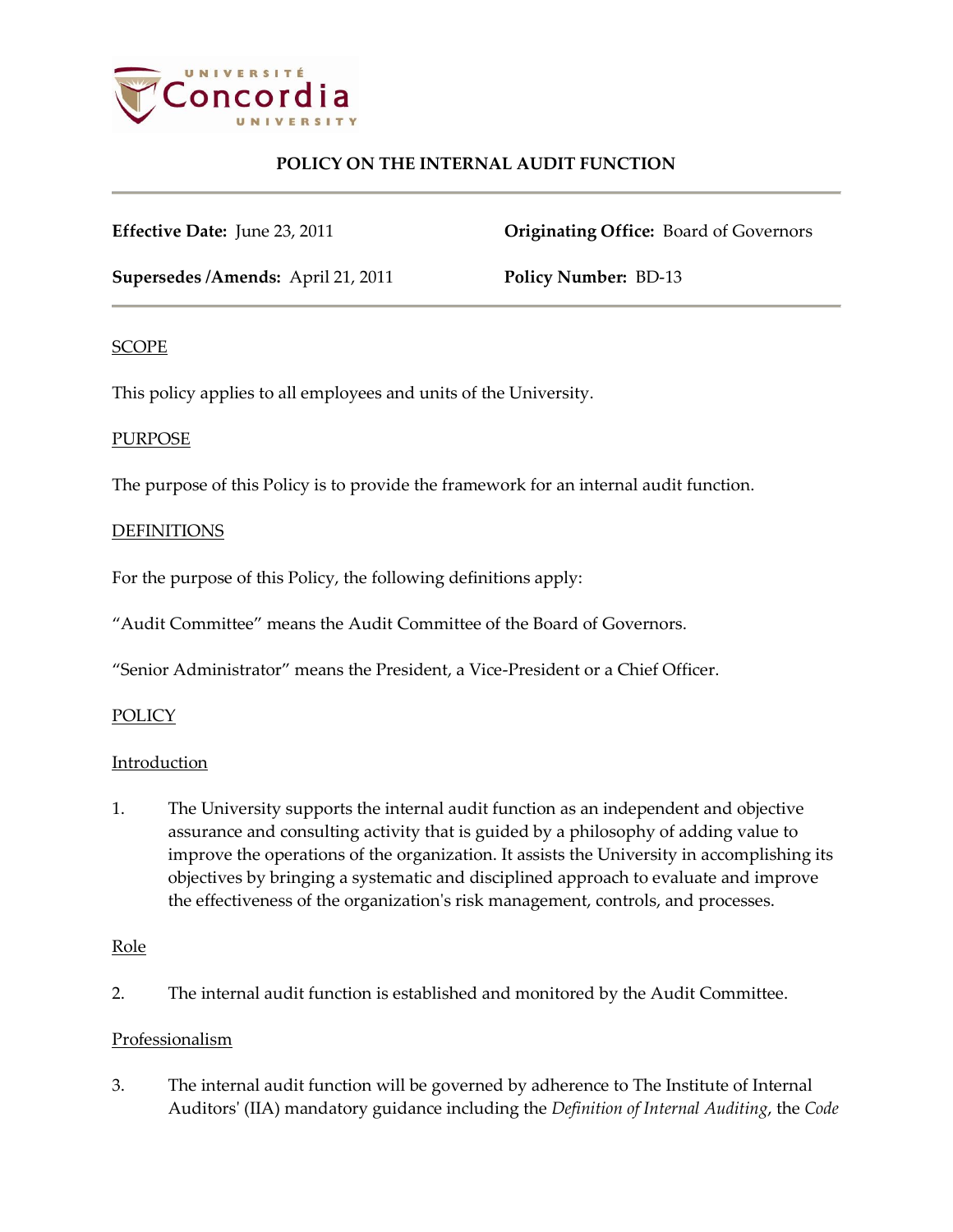

**Effective Date:** June 23, 2011 **Originating Office:** Board of Governors

**Supersedes /Amends:** April 21, 2011 **Policy Number:** BD-13

## SCOPE

This policy applies to all employees and units of the University.

## **PURPOSE**

The purpose of this Policy is to provide the framework for an internal audit function.

## **DEFINITIONS**

For the purpose of this Policy, the following definitions apply:

"Audit Committee" means the Audit Committee of the Board of Governors.

"Senior Administrator" means the President, a Vice-President or a Chief Officer.

## **POLICY**

## **Introduction**

1. The University supports the internal audit function as an independent and objective assurance and consulting activity that is guided by a philosophy of adding value to improve the operations of the organization. It assists the University in accomplishing its objectives by bringing a systematic and disciplined approach to evaluate and improve the effectiveness of the organization's risk management, controls, and processes.

## Role

2. The internal audit function is established and monitored by the Audit Committee.

## Professionalism

3. The internal audit function will be governed by adherence to The Institute of Internal Auditors' (IIA) mandatory guidance including the *Definition of Internal Auditing*, the *Code*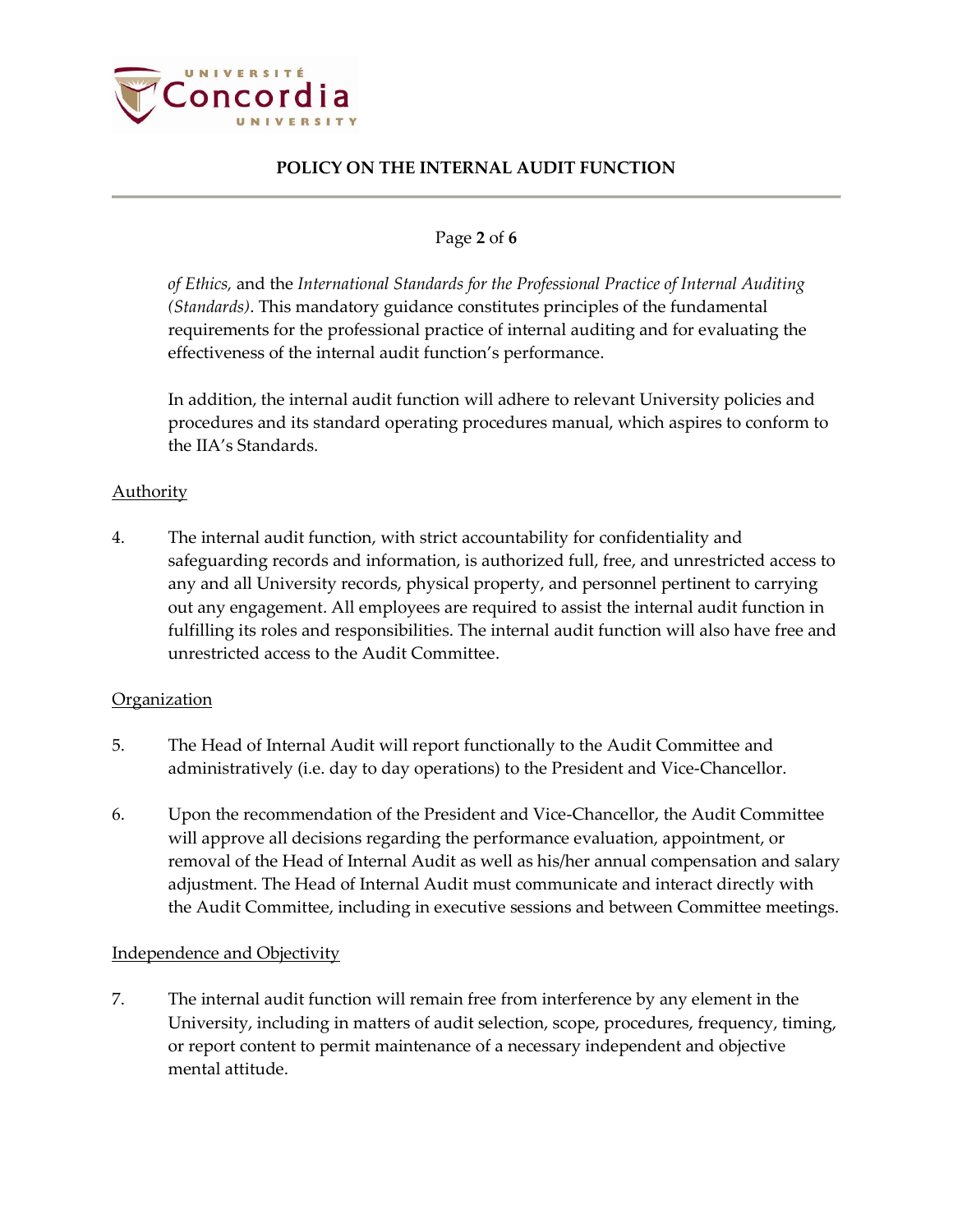

## Page **2** of **6**

*of Ethics,* and the *International Standards for the Professional Practice of Internal Auditing (Standards)*. This mandatory guidance constitutes principles of the fundamental requirements for the professional practice of internal auditing and for evaluating the effectiveness of the internal audit function's performance.

In addition, the internal audit function will adhere to relevant University policies and procedures and its standard operating procedures manual, which aspires to conform to the IIA's Standards.

## Authority

4. The internal audit function, with strict accountability for confidentiality and safeguarding records and information, is authorized full, free, and unrestricted access to any and all University records, physical property, and personnel pertinent to carrying out any engagement. All employees are required to assist the internal audit function in fulfilling its roles and responsibilities. The internal audit function will also have free and unrestricted access to the Audit Committee.

## **Organization**

- 5. The Head of Internal Audit will report functionally to the Audit Committee and administratively (i.e. day to day operations) to the President and Vice-Chancellor.
- 6. Upon the recommendation of the President and Vice-Chancellor, the Audit Committee will approve all decisions regarding the performance evaluation, appointment, or removal of the Head of Internal Audit as well as his/her annual compensation and salary adjustment. The Head of Internal Audit must communicate and interact directly with the Audit Committee, including in executive sessions and between Committee meetings.

## Independence and Objectivity

7. The internal audit function will remain free from interference by any element in the University, including in matters of audit selection, scope, procedures, frequency, timing, or report content to permit maintenance of a necessary independent and objective mental attitude.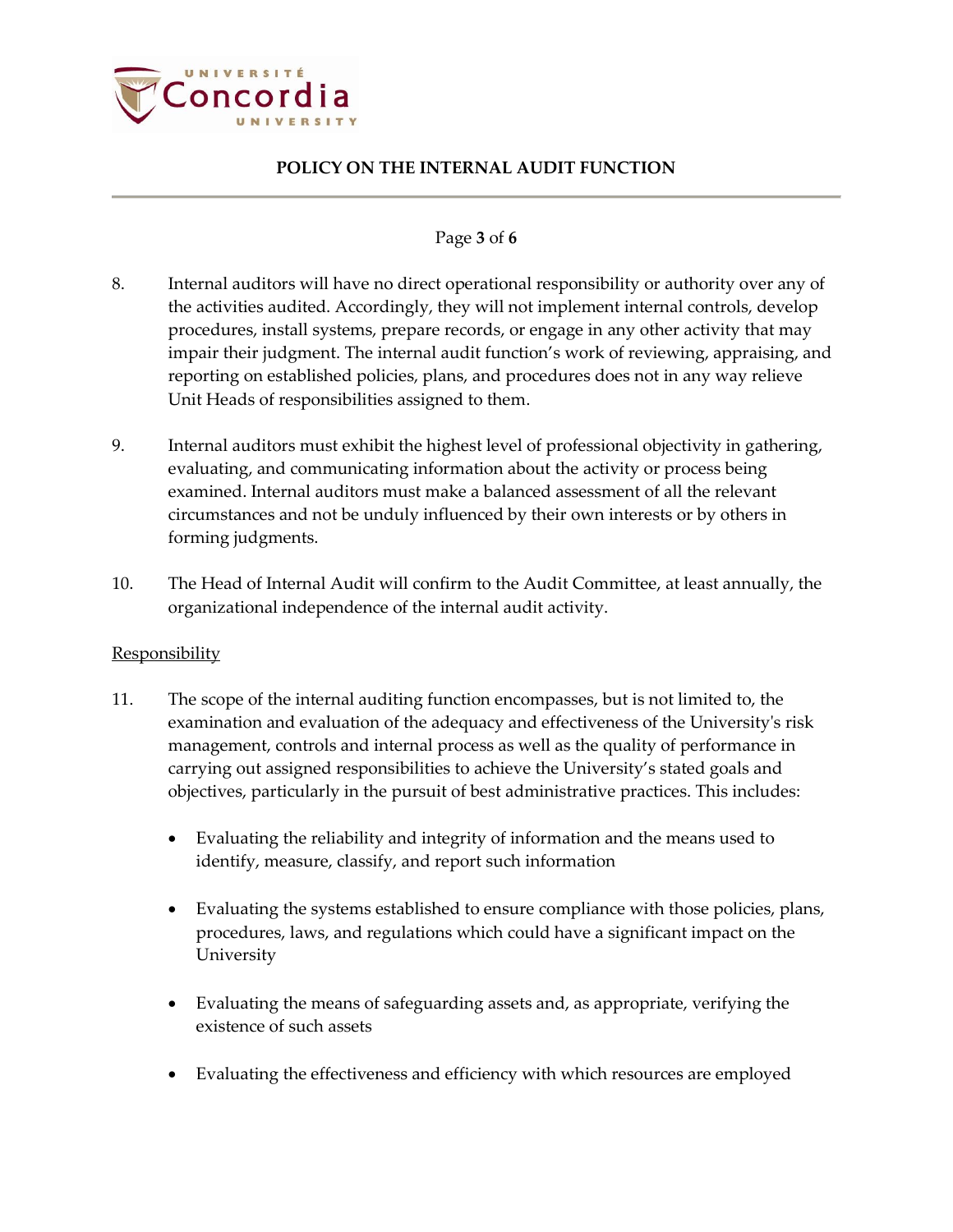

### Page **3** of **6**

- 8. Internal auditors will have no direct operational responsibility or authority over any of the activities audited. Accordingly, they will not implement internal controls, develop procedures, install systems, prepare records, or engage in any other activity that may impair their judgment. The internal audit function's work of reviewing, appraising, and reporting on established policies, plans, and procedures does not in any way relieve Unit Heads of responsibilities assigned to them.
- 9. Internal auditors must exhibit the highest level of professional objectivity in gathering, evaluating, and communicating information about the activity or process being examined. Internal auditors must make a balanced assessment of all the relevant circumstances and not be unduly influenced by their own interests or by others in forming judgments.
- 10. The Head of Internal Audit will confirm to the Audit Committee, at least annually, the organizational independence of the internal audit activity.

#### **Responsibility**

- 11. The scope of the internal auditing function encompasses, but is not limited to, the examination and evaluation of the adequacy and effectiveness of the University's risk management, controls and internal process as well as the quality of performance in carrying out assigned responsibilities to achieve the University's stated goals and objectives, particularly in the pursuit of best administrative practices. This includes:
	- Evaluating the reliability and integrity of information and the means used to identify, measure, classify, and report such information
	- Evaluating the systems established to ensure compliance with those policies, plans, procedures, laws, and regulations which could have a significant impact on the University
	- Evaluating the means of safeguarding assets and, as appropriate, verifying the existence of such assets
	- Evaluating the effectiveness and efficiency with which resources are employed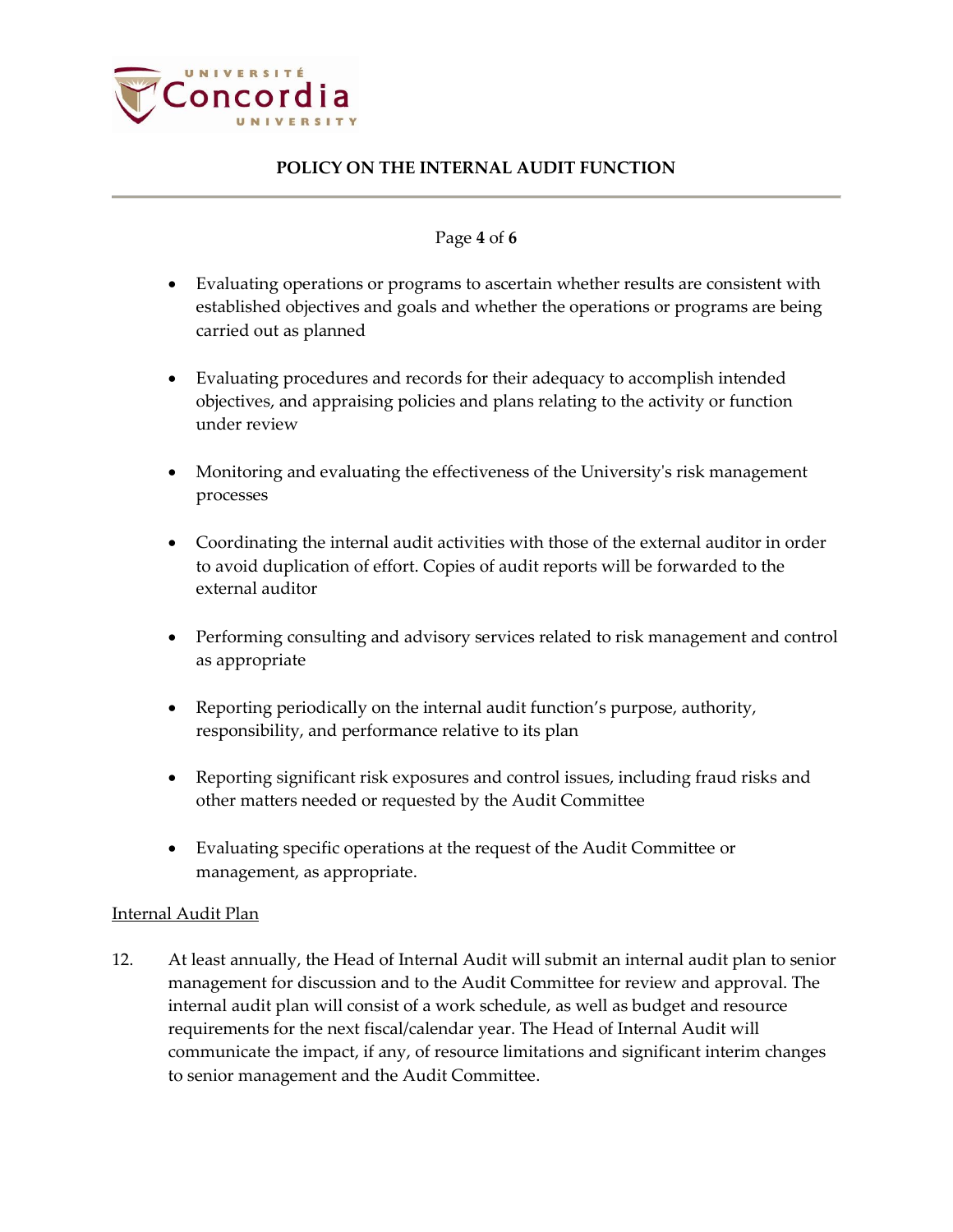

### Page **4** of **6**

- Evaluating operations or programs to ascertain whether results are consistent with established objectives and goals and whether the operations or programs are being carried out as planned
- Evaluating procedures and records for their adequacy to accomplish intended objectives, and appraising policies and plans relating to the activity or function under review
- Monitoring and evaluating the effectiveness of the University's risk management processes
- Coordinating the internal audit activities with those of the external auditor in order to avoid duplication of effort. Copies of audit reports will be forwarded to the external auditor
- Performing consulting and advisory services related to risk management and control as appropriate
- Reporting periodically on the internal audit function's purpose, authority, responsibility, and performance relative to its plan
- Reporting significant risk exposures and control issues, including fraud risks and other matters needed or requested by the Audit Committee
- Evaluating specific operations at the request of the Audit Committee or management, as appropriate.

## Internal Audit Plan

12. At least annually, the Head of Internal Audit will submit an internal audit plan to senior management for discussion and to the Audit Committee for review and approval. The internal audit plan will consist of a work schedule, as well as budget and resource requirements for the next fiscal/calendar year. The Head of Internal Audit will communicate the impact, if any, of resource limitations and significant interim changes to senior management and the Audit Committee.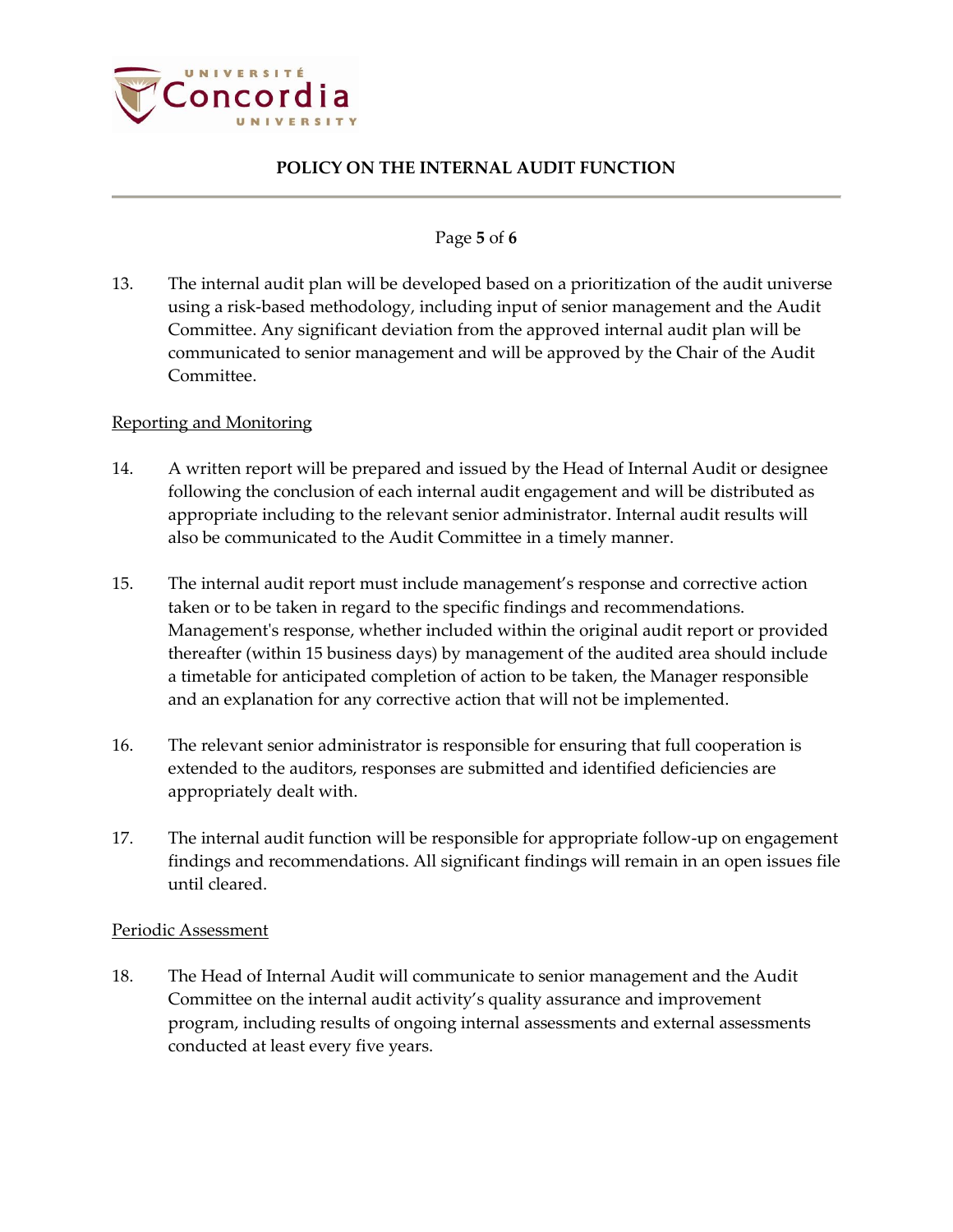

### Page **5** of **6**

13. The internal audit plan will be developed based on a prioritization of the audit universe using a risk-based methodology, including input of senior management and the Audit Committee. Any significant deviation from the approved internal audit plan will be communicated to senior management and will be approved by the Chair of the Audit Committee.

### Reporting and Monitoring

- 14. A written report will be prepared and issued by the Head of Internal Audit or designee following the conclusion of each internal audit engagement and will be distributed as appropriate including to the relevant senior administrator. Internal audit results will also be communicated to the Audit Committee in a timely manner.
- 15. The internal audit report must include management's response and corrective action taken or to be taken in regard to the specific findings and recommendations. Management's response, whether included within the original audit report or provided thereafter (within 15 business days) by management of the audited area should include a timetable for anticipated completion of action to be taken, the Manager responsible and an explanation for any corrective action that will not be implemented.
- 16. The relevant senior administrator is responsible for ensuring that full cooperation is extended to the auditors, responses are submitted and identified deficiencies are appropriately dealt with.
- 17. The internal audit function will be responsible for appropriate follow-up on engagement findings and recommendations. All significant findings will remain in an open issues file until cleared.

#### Periodic Assessment

18. The Head of Internal Audit will communicate to senior management and the Audit Committee on the internal audit activity's quality assurance and improvement program, including results of ongoing internal assessments and external assessments conducted at least every five years.